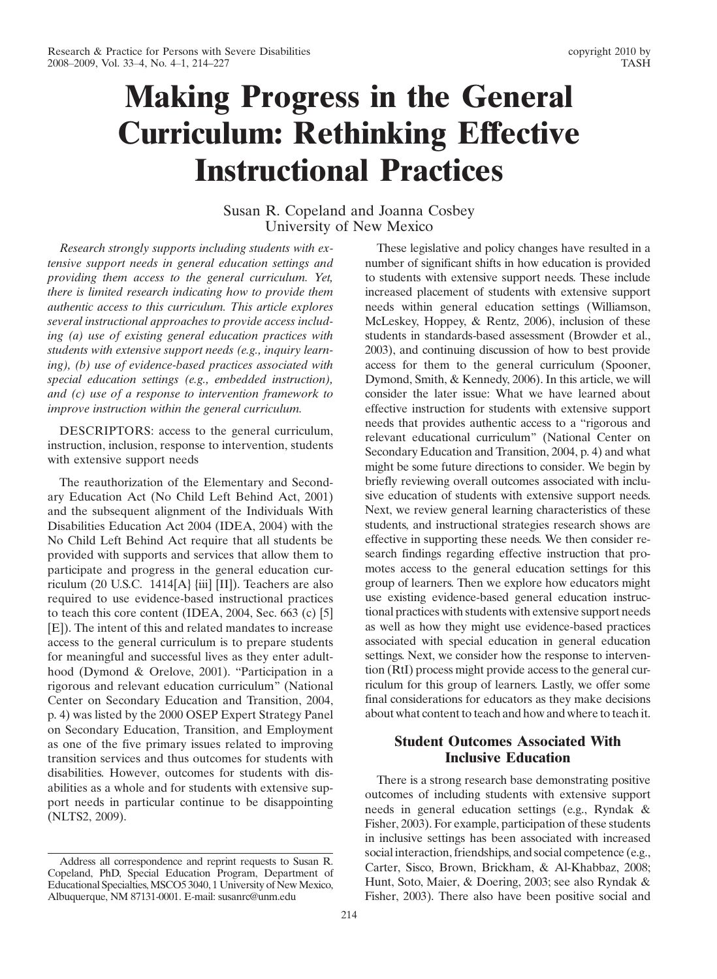# Making Progress in the General Curriculum: Rethinking Effective Instructional Practices

# Susan R. Copeland and Joanna Cosbey University of New Mexico

Research strongly supports including students with extensive support needs in general education settings and providing them access to the general curriculum. Yet, there is limited research indicating how to provide them authentic access to this curriculum. This article explores several instructional approaches to provide access including (a) use of existing general education practices with students with extensive support needs (e.g., inquiry learning), (b) use of evidence-based practices associated with special education settings (e.g., embedded instruction), and (c) use of a response to intervention framework to improve instruction within the general curriculum.

DESCRIPTORS: access to the general curriculum, instruction, inclusion, response to intervention, students with extensive support needs

The reauthorization of the Elementary and Secondary Education Act (No Child Left Behind Act, 2001) and the subsequent alignment of the Individuals With Disabilities Education Act 2004 (IDEA, 2004) with the No Child Left Behind Act require that all students be provided with supports and services that allow them to participate and progress in the general education curriculum (20 U.S.C. 1414[A} {iii] [II]). Teachers are also required to use evidence-based instructional practices to teach this core content (IDEA, 2004, Sec. 663 (c) [5] [E]). The intent of this and related mandates to increase access to the general curriculum is to prepare students for meaningful and successful lives as they enter adulthood (Dymond & Orelove, 2001). "Participation in a rigorous and relevant education curriculum" (National Center on Secondary Education and Transition, 2004, p. 4) was listed by the 2000 OSEP Expert Strategy Panel on Secondary Education, Transition, and Employment as one of the five primary issues related to improving transition services and thus outcomes for students with disabilities. However, outcomes for students with disabilities as a whole and for students with extensive support needs in particular continue to be disappointing (NLTS2, 2009).

These legislative and policy changes have resulted in a number of significant shifts in how education is provided to students with extensive support needs. These include increased placement of students with extensive support needs within general education settings (Williamson, McLeskey, Hoppey, & Rentz, 2006), inclusion of these students in standards-based assessment (Browder et al., 2003), and continuing discussion of how to best provide access for them to the general curriculum (Spooner, Dymond, Smith, & Kennedy, 2006). In this article, we will consider the later issue: What we have learned about effective instruction for students with extensive support needs that provides authentic access to a "rigorous and relevant educational curriculum" (National Center on Secondary Education and Transition, 2004, p. 4) and what might be some future directions to consider. We begin by briefly reviewing overall outcomes associated with inclusive education of students with extensive support needs. Next, we review general learning characteristics of these students, and instructional strategies research shows are effective in supporting these needs. We then consider research findings regarding effective instruction that promotes access to the general education settings for this group of learners. Then we explore how educators might use existing evidence-based general education instructional practices with students with extensive support needs as well as how they might use evidence-based practices associated with special education in general education settings. Next, we consider how the response to intervention (RtI) process might provide access to the general curriculum for this group of learners. Lastly, we offer some final considerations for educators as they make decisions about what content to teach and how and where to teach it.

# Student Outcomes Associated With Inclusive Education

There is a strong research base demonstrating positive outcomes of including students with extensive support needs in general education settings (e.g., Ryndak & Fisher, 2003). For example, participation of these students in inclusive settings has been associated with increased social interaction, friendships, and social competence (e.g., Carter, Sisco, Brown, Brickham, & Al-Khabbaz, 2008; Hunt, Soto, Maier, & Doering, 2003; see also Ryndak & Fisher, 2003). There also have been positive social and

Address all correspondence and reprint requests to Susan R. Copeland, PhD, Special Education Program, Department of Educational Specialties, MSCO5 3040, 1 University of New Mexico, Albuquerque, NM 87131-0001. E-mail: susanrc@unm.edu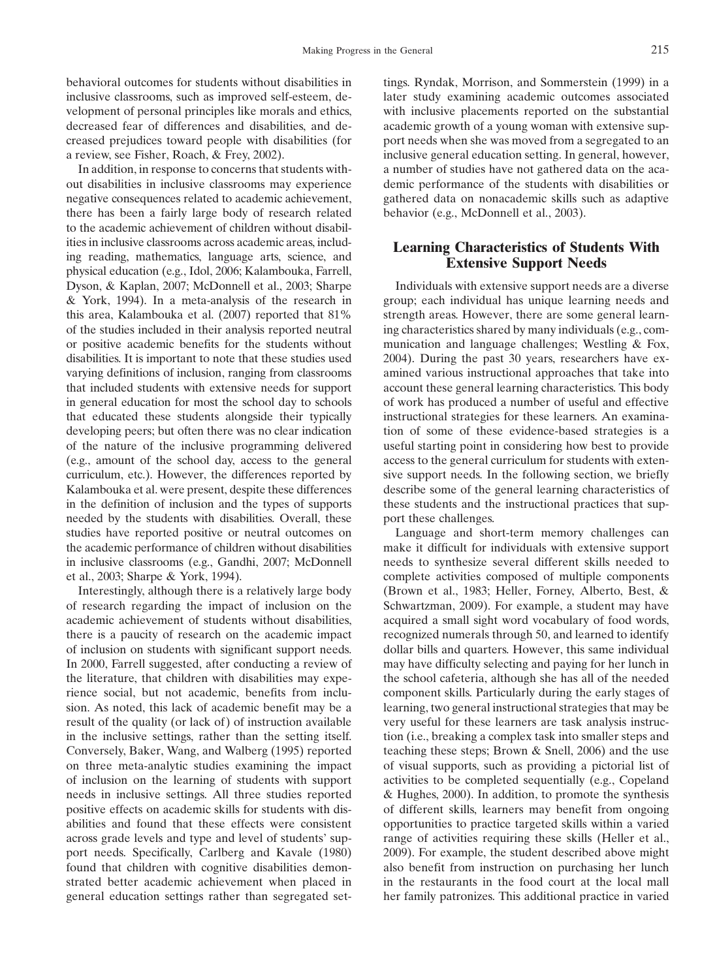behavioral outcomes for students without disabilities in inclusive classrooms, such as improved self-esteem, development of personal principles like morals and ethics, decreased fear of differences and disabilities, and decreased prejudices toward people with disabilities (for a review, see Fisher, Roach, & Frey, 2002).

In addition, in response to concerns that students without disabilities in inclusive classrooms may experience negative consequences related to academic achievement, there has been a fairly large body of research related to the academic achievement of children without disabilities in inclusive classrooms across academic areas, including reading, mathematics, language arts, science, and physical education (e.g., Idol, 2006; Kalambouka, Farrell, Dyson, & Kaplan, 2007; McDonnell et al., 2003; Sharpe & York, 1994). In a meta-analysis of the research in this area, Kalambouka et al. (2007) reported that 81% of the studies included in their analysis reported neutral or positive academic benefits for the students without disabilities. It is important to note that these studies used varying definitions of inclusion, ranging from classrooms that included students with extensive needs for support in general education for most the school day to schools that educated these students alongside their typically developing peers; but often there was no clear indication of the nature of the inclusive programming delivered (e.g., amount of the school day, access to the general curriculum, etc.). However, the differences reported by Kalambouka et al. were present, despite these differences in the definition of inclusion and the types of supports needed by the students with disabilities. Overall, these studies have reported positive or neutral outcomes on the academic performance of children without disabilities in inclusive classrooms (e.g., Gandhi, 2007; McDonnell et al., 2003; Sharpe & York, 1994).

Interestingly, although there is a relatively large body of research regarding the impact of inclusion on the academic achievement of students without disabilities, there is a paucity of research on the academic impact of inclusion on students with significant support needs. In 2000, Farrell suggested, after conducting a review of the literature, that children with disabilities may experience social, but not academic, benefits from inclusion. As noted, this lack of academic benefit may be a result of the quality (or lack of) of instruction available in the inclusive settings, rather than the setting itself. Conversely, Baker, Wang, and Walberg (1995) reported on three meta-analytic studies examining the impact of inclusion on the learning of students with support needs in inclusive settings. All three studies reported positive effects on academic skills for students with disabilities and found that these effects were consistent across grade levels and type and level of students' support needs. Specifically, Carlberg and Kavale (1980) found that children with cognitive disabilities demonstrated better academic achievement when placed in general education settings rather than segregated settings. Ryndak, Morrison, and Sommerstein (1999) in a later study examining academic outcomes associated with inclusive placements reported on the substantial academic growth of a young woman with extensive support needs when she was moved from a segregated to an inclusive general education setting. In general, however, a number of studies have not gathered data on the academic performance of the students with disabilities or gathered data on nonacademic skills such as adaptive behavior (e.g., McDonnell et al., 2003).

## Learning Characteristics of Students With Extensive Support Needs

Individuals with extensive support needs are a diverse group; each individual has unique learning needs and strength areas. However, there are some general learning characteristics shared by many individuals (e.g., communication and language challenges; Westling & Fox, 2004). During the past 30 years, researchers have examined various instructional approaches that take into account these general learning characteristics. This body of work has produced a number of useful and effective instructional strategies for these learners. An examination of some of these evidence-based strategies is a useful starting point in considering how best to provide access to the general curriculum for students with extensive support needs. In the following section, we briefly describe some of the general learning characteristics of these students and the instructional practices that support these challenges.

Language and short-term memory challenges can make it difficult for individuals with extensive support needs to synthesize several different skills needed to complete activities composed of multiple components (Brown et al., 1983; Heller, Forney, Alberto, Best, & Schwartzman, 2009). For example, a student may have acquired a small sight word vocabulary of food words, recognized numerals through 50, and learned to identify dollar bills and quarters. However, this same individual may have difficulty selecting and paying for her lunch in the school cafeteria, although she has all of the needed component skills. Particularly during the early stages of learning, two general instructional strategies that may be very useful for these learners are task analysis instruction (i.e., breaking a complex task into smaller steps and teaching these steps; Brown & Snell, 2006) and the use of visual supports, such as providing a pictorial list of activities to be completed sequentially (e.g., Copeland & Hughes, 2000). In addition, to promote the synthesis of different skills, learners may benefit from ongoing opportunities to practice targeted skills within a varied range of activities requiring these skills (Heller et al., 2009). For example, the student described above might also benefit from instruction on purchasing her lunch in the restaurants in the food court at the local mall her family patronizes. This additional practice in varied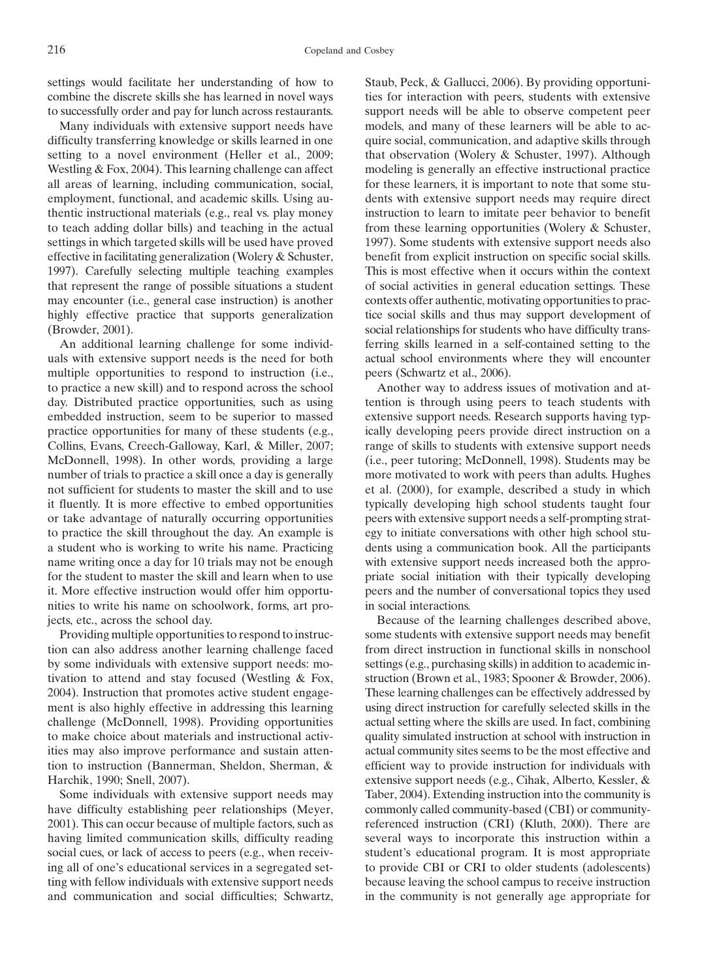settings would facilitate her understanding of how to combine the discrete skills she has learned in novel ways to successfully order and pay for lunch across restaurants.

Many individuals with extensive support needs have difficulty transferring knowledge or skills learned in one setting to a novel environment (Heller et al., 2009; Westling & Fox, 2004). This learning challenge can affect all areas of learning, including communication, social, employment, functional, and academic skills. Using authentic instructional materials (e.g., real vs. play money to teach adding dollar bills) and teaching in the actual settings in which targeted skills will be used have proved effective in facilitating generalization (Wolery & Schuster, 1997). Carefully selecting multiple teaching examples that represent the range of possible situations a student may encounter (i.e., general case instruction) is another highly effective practice that supports generalization (Browder, 2001).

An additional learning challenge for some individuals with extensive support needs is the need for both multiple opportunities to respond to instruction (i.e., to practice a new skill) and to respond across the school day. Distributed practice opportunities, such as using embedded instruction, seem to be superior to massed practice opportunities for many of these students (e.g., Collins, Evans, Creech-Galloway, Karl, & Miller, 2007; McDonnell, 1998). In other words, providing a large number of trials to practice a skill once a day is generally not sufficient for students to master the skill and to use it fluently. It is more effective to embed opportunities or take advantage of naturally occurring opportunities to practice the skill throughout the day. An example is a student who is working to write his name. Practicing name writing once a day for 10 trials may not be enough for the student to master the skill and learn when to use it. More effective instruction would offer him opportunities to write his name on schoolwork, forms, art projects, etc., across the school day.

Providing multiple opportunities to respond to instruction can also address another learning challenge faced by some individuals with extensive support needs: motivation to attend and stay focused (Westling & Fox, 2004). Instruction that promotes active student engagement is also highly effective in addressing this learning challenge (McDonnell, 1998). Providing opportunities to make choice about materials and instructional activities may also improve performance and sustain attention to instruction (Bannerman, Sheldon, Sherman, & Harchik, 1990; Snell, 2007).

Some individuals with extensive support needs may have difficulty establishing peer relationships (Meyer, 2001). This can occur because of multiple factors, such as having limited communication skills, difficulty reading social cues, or lack of access to peers (e.g., when receiving all of one's educational services in a segregated setting with fellow individuals with extensive support needs and communication and social difficulties; Schwartz,

Staub, Peck, & Gallucci, 2006). By providing opportunities for interaction with peers, students with extensive support needs will be able to observe competent peer models, and many of these learners will be able to acquire social, communication, and adaptive skills through that observation (Wolery & Schuster, 1997). Although modeling is generally an effective instructional practice for these learners, it is important to note that some students with extensive support needs may require direct instruction to learn to imitate peer behavior to benefit from these learning opportunities (Wolery & Schuster, 1997). Some students with extensive support needs also benefit from explicit instruction on specific social skills. This is most effective when it occurs within the context of social activities in general education settings. These contexts offer authentic, motivating opportunities to practice social skills and thus may support development of social relationships for students who have difficulty transferring skills learned in a self-contained setting to the actual school environments where they will encounter peers (Schwartz et al., 2006).

Another way to address issues of motivation and attention is through using peers to teach students with extensive support needs. Research supports having typically developing peers provide direct instruction on a range of skills to students with extensive support needs (i.e., peer tutoring; McDonnell, 1998). Students may be more motivated to work with peers than adults. Hughes et al. (2000), for example, described a study in which typically developing high school students taught four peers with extensive support needs a self-prompting strategy to initiate conversations with other high school students using a communication book. All the participants with extensive support needs increased both the appropriate social initiation with their typically developing peers and the number of conversational topics they used in social interactions.

Because of the learning challenges described above, some students with extensive support needs may benefit from direct instruction in functional skills in nonschool settings (e.g., purchasing skills) in addition to academic instruction (Brown et al., 1983; Spooner & Browder, 2006). These learning challenges can be effectively addressed by using direct instruction for carefully selected skills in the actual setting where the skills are used. In fact, combining quality simulated instruction at school with instruction in actual community sites seems to be the most effective and efficient way to provide instruction for individuals with extensive support needs (e.g., Cihak, Alberto, Kessler, & Taber, 2004). Extending instruction into the community is commonly called community-based (CBI) or communityreferenced instruction (CRI) (Kluth, 2000). There are several ways to incorporate this instruction within a student's educational program. It is most appropriate to provide CBI or CRI to older students (adolescents) because leaving the school campus to receive instruction in the community is not generally age appropriate for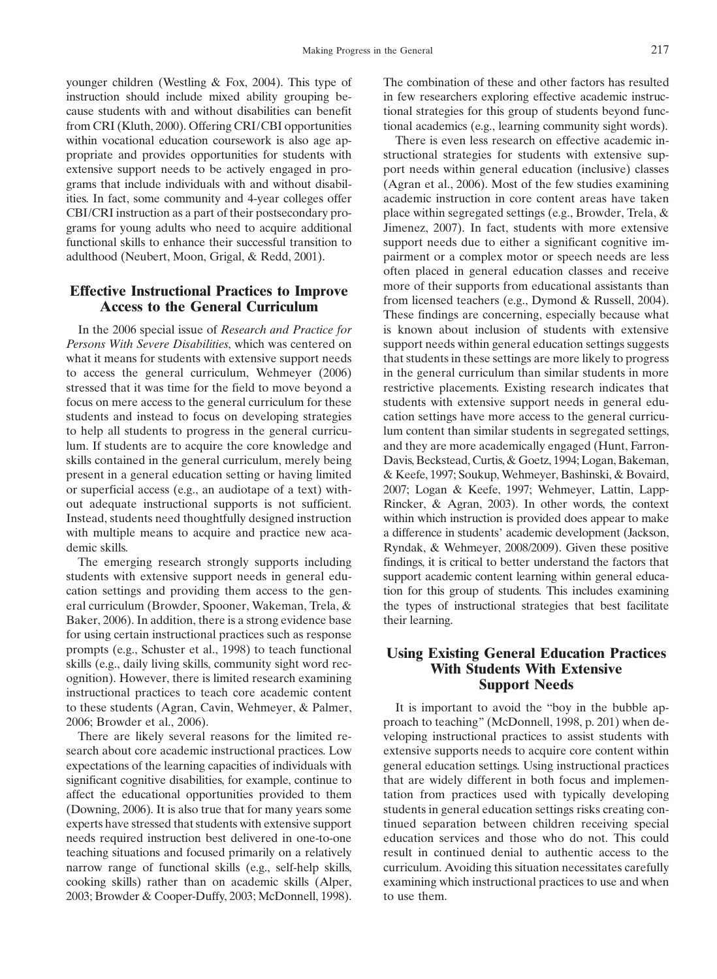younger children (Westling & Fox, 2004). This type of instruction should include mixed ability grouping because students with and without disabilities can benefit from CRI (Kluth, 2000). Offering CRI/CBI opportunities within vocational education coursework is also age appropriate and provides opportunities for students with extensive support needs to be actively engaged in programs that include individuals with and without disabilities. In fact, some community and 4-year colleges offer CBI/CRI instruction as a part of their postsecondary programs for young adults who need to acquire additional functional skills to enhance their successful transition to adulthood (Neubert, Moon, Grigal, & Redd, 2001).

# Effective Instructional Practices to Improve Access to the General Curriculum

In the 2006 special issue of Research and Practice for Persons With Severe Disabilities, which was centered on what it means for students with extensive support needs to access the general curriculum, Wehmeyer (2006) stressed that it was time for the field to move beyond a focus on mere access to the general curriculum for these students and instead to focus on developing strategies to help all students to progress in the general curriculum. If students are to acquire the core knowledge and skills contained in the general curriculum, merely being present in a general education setting or having limited or superficial access (e.g., an audiotape of a text) without adequate instructional supports is not sufficient. Instead, students need thoughtfully designed instruction with multiple means to acquire and practice new academic skills.

The emerging research strongly supports including students with extensive support needs in general education settings and providing them access to the general curriculum (Browder, Spooner, Wakeman, Trela, & Baker, 2006). In addition, there is a strong evidence base for using certain instructional practices such as response prompts (e.g., Schuster et al., 1998) to teach functional skills (e.g., daily living skills, community sight word recognition). However, there is limited research examining instructional practices to teach core academic content to these students (Agran, Cavin, Wehmeyer, & Palmer, 2006; Browder et al., 2006).

There are likely several reasons for the limited research about core academic instructional practices. Low expectations of the learning capacities of individuals with significant cognitive disabilities, for example, continue to affect the educational opportunities provided to them (Downing, 2006). It is also true that for many years some experts have stressed that students with extensive support needs required instruction best delivered in one-to-one teaching situations and focused primarily on a relatively narrow range of functional skills (e.g., self-help skills, cooking skills) rather than on academic skills (Alper, 2003; Browder & Cooper-Duffy, 2003; McDonnell, 1998). The combination of these and other factors has resulted in few researchers exploring effective academic instructional strategies for this group of students beyond functional academics (e.g., learning community sight words).

There is even less research on effective academic instructional strategies for students with extensive support needs within general education (inclusive) classes (Agran et al., 2006). Most of the few studies examining academic instruction in core content areas have taken place within segregated settings (e.g., Browder, Trela, & Jimenez, 2007). In fact, students with more extensive support needs due to either a significant cognitive impairment or a complex motor or speech needs are less often placed in general education classes and receive more of their supports from educational assistants than from licensed teachers (e.g., Dymond & Russell, 2004). These findings are concerning, especially because what is known about inclusion of students with extensive support needs within general education settings suggests that students in these settings are more likely to progress in the general curriculum than similar students in more restrictive placements. Existing research indicates that students with extensive support needs in general education settings have more access to the general curriculum content than similar students in segregated settings, and they are more academically engaged (Hunt, Farron-Davis, Beckstead, Curtis, & Goetz, 1994; Logan, Bakeman, & Keefe, 1997; Soukup, Wehmeyer, Bashinski, & Bovaird, 2007; Logan & Keefe, 1997; Wehmeyer, Lattin, Lapp-Rincker, & Agran, 2003). In other words, the context within which instruction is provided does appear to make a difference in students' academic development (Jackson, Ryndak, & Wehmeyer, 2008/2009). Given these positive findings, it is critical to better understand the factors that support academic content learning within general education for this group of students. This includes examining the types of instructional strategies that best facilitate their learning.

## Using Existing General Education Practices With Students With Extensive Support Needs

It is important to avoid the "boy in the bubble approach to teaching" (McDonnell, 1998, p. 201) when developing instructional practices to assist students with extensive supports needs to acquire core content within general education settings. Using instructional practices that are widely different in both focus and implementation from practices used with typically developing students in general education settings risks creating continued separation between children receiving special education services and those who do not. This could result in continued denial to authentic access to the curriculum. Avoiding this situation necessitates carefully examining which instructional practices to use and when to use them.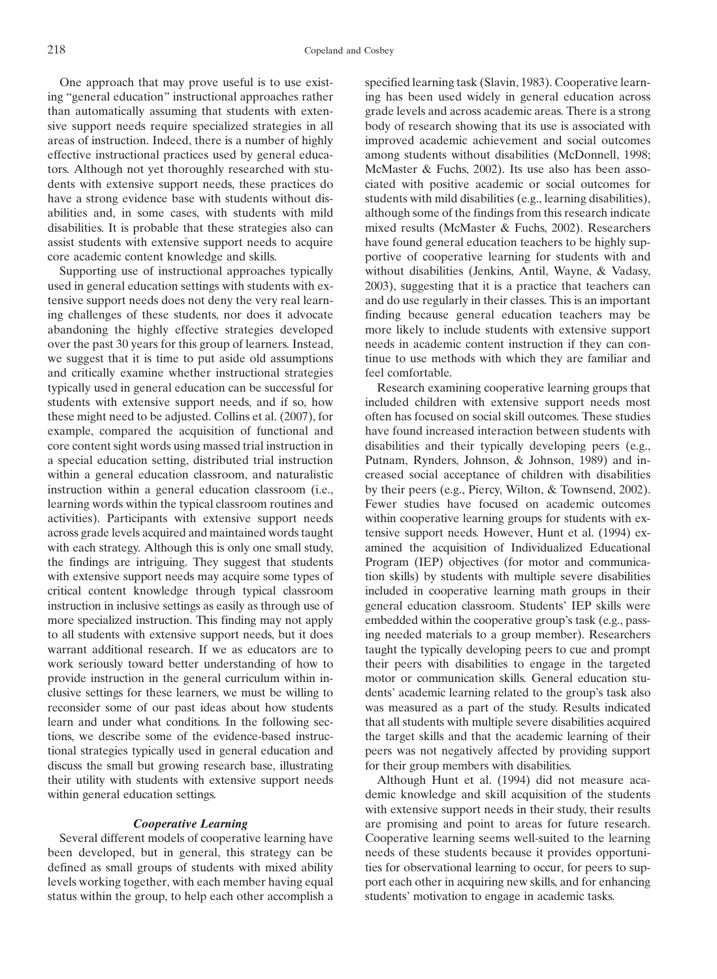One approach that may prove useful is to use existing "general education" instructional approaches rather than automatically assuming that students with extensive support needs require specialized strategies in all areas of instruction. Indeed, there is a number of highly effective instructional practices used by general educators. Although not yet thoroughly researched with students with extensive support needs, these practices do have a strong evidence base with students without disabilities and, in some cases, with students with mild disabilities. It is probable that these strategies also can assist students with extensive support needs to acquire core academic content knowledge and skills.

Supporting use of instructional approaches typically used in general education settings with students with extensive support needs does not deny the very real learning challenges of these students, nor does it advocate abandoning the highly effective strategies developed over the past 30 years for this group of learners. Instead, we suggest that it is time to put aside old assumptions and critically examine whether instructional strategies typically used in general education can be successful for students with extensive support needs, and if so, how these might need to be adjusted. Collins et al. (2007), for example, compared the acquisition of functional and core content sight words using massed trial instruction in a special education setting, distributed trial instruction within a general education classroom, and naturalistic instruction within a general education classroom (i.e., learning words within the typical classroom routines and activities). Participants with extensive support needs across grade levels acquired and maintained words taught with each strategy. Although this is only one small study, the findings are intriguing. They suggest that students with extensive support needs may acquire some types of critical content knowledge through typical classroom instruction in inclusive settings as easily as through use of more specialized instruction. This finding may not apply to all students with extensive support needs, but it does warrant additional research. If we as educators are to work seriously toward better understanding of how to provide instruction in the general curriculum within inclusive settings for these learners, we must be willing to reconsider some of our past ideas about how students learn and under what conditions. In the following sections, we describe some of the evidence-based instructional strategies typically used in general education and discuss the small but growing research base, illustrating their utility with students with extensive support needs within general education settings.

## Cooperative Learning

Several different models of cooperative learning have been developed, but in general, this strategy can be defined as small groups of students with mixed ability levels working together, with each member having equal status within the group, to help each other accomplish a

specified learning task (Slavin, 1983). Cooperative learning has been used widely in general education across grade levels and across academic areas. There is a strong body of research showing that its use is associated with improved academic achievement and social outcomes among students without disabilities (McDonnell, 1998; McMaster & Fuchs, 2002). Its use also has been associated with positive academic or social outcomes for students with mild disabilities (e.g., learning disabilities), although some of the findings from this research indicate mixed results (McMaster & Fuchs, 2002). Researchers have found general education teachers to be highly supportive of cooperative learning for students with and without disabilities (Jenkins, Antil, Wayne, & Vadasy, 2003), suggesting that it is a practice that teachers can and do use regularly in their classes. This is an important finding because general education teachers may be more likely to include students with extensive support needs in academic content instruction if they can continue to use methods with which they are familiar and feel comfortable.

Research examining cooperative learning groups that included children with extensive support needs most often has focused on social skill outcomes. These studies have found increased interaction between students with disabilities and their typically developing peers (e.g., Putnam, Rynders, Johnson, & Johnson, 1989) and increased social acceptance of children with disabilities by their peers (e.g., Piercy, Wilton, & Townsend, 2002). Fewer studies have focused on academic outcomes within cooperative learning groups for students with extensive support needs. However, Hunt et al. (1994) examined the acquisition of Individualized Educational Program (IEP) objectives (for motor and communication skills) by students with multiple severe disabilities included in cooperative learning math groups in their general education classroom. Students' IEP skills were embedded within the cooperative group's task (e.g., passing needed materials to a group member). Researchers taught the typically developing peers to cue and prompt their peers with disabilities to engage in the targeted motor or communication skills. General education students' academic learning related to the group's task also was measured as a part of the study. Results indicated that all students with multiple severe disabilities acquired the target skills and that the academic learning of their peers was not negatively affected by providing support for their group members with disabilities.

Although Hunt et al. (1994) did not measure academic knowledge and skill acquisition of the students with extensive support needs in their study, their results are promising and point to areas for future research. Cooperative learning seems well-suited to the learning needs of these students because it provides opportunities for observational learning to occur, for peers to support each other in acquiring new skills, and for enhancing students' motivation to engage in academic tasks.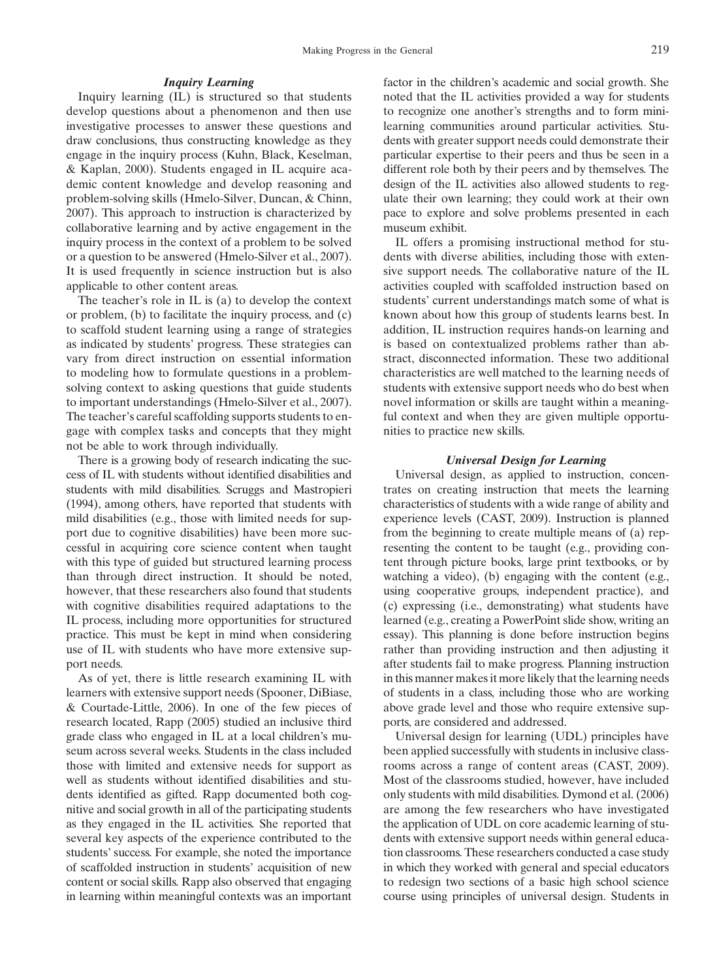## Inquiry Learning

Inquiry learning (IL) is structured so that students develop questions about a phenomenon and then use investigative processes to answer these questions and draw conclusions, thus constructing knowledge as they engage in the inquiry process (Kuhn, Black, Keselman, & Kaplan, 2000). Students engaged in IL acquire academic content knowledge and develop reasoning and problem-solving skills (Hmelo-Silver, Duncan, & Chinn, 2007). This approach to instruction is characterized by collaborative learning and by active engagement in the inquiry process in the context of a problem to be solved or a question to be answered (Hmelo-Silver et al., 2007). It is used frequently in science instruction but is also applicable to other content areas.

The teacher's role in IL is (a) to develop the context or problem, (b) to facilitate the inquiry process, and (c) to scaffold student learning using a range of strategies as indicated by students' progress. These strategies can vary from direct instruction on essential information to modeling how to formulate questions in a problemsolving context to asking questions that guide students to important understandings (Hmelo-Silver et al., 2007). The teacher's careful scaffolding supports students to engage with complex tasks and concepts that they might not be able to work through individually.

There is a growing body of research indicating the success of IL with students without identified disabilities and students with mild disabilities. Scruggs and Mastropieri (1994), among others, have reported that students with mild disabilities (e.g., those with limited needs for support due to cognitive disabilities) have been more successful in acquiring core science content when taught with this type of guided but structured learning process than through direct instruction. It should be noted, however, that these researchers also found that students with cognitive disabilities required adaptations to the IL process, including more opportunities for structured practice. This must be kept in mind when considering use of IL with students who have more extensive support needs.

As of yet, there is little research examining IL with learners with extensive support needs (Spooner, DiBiase, & Courtade-Little, 2006). In one of the few pieces of research located, Rapp (2005) studied an inclusive third grade class who engaged in IL at a local children's museum across several weeks. Students in the class included those with limited and extensive needs for support as well as students without identified disabilities and students identified as gifted. Rapp documented both cognitive and social growth in all of the participating students as they engaged in the IL activities. She reported that several key aspects of the experience contributed to the students' success. For example, she noted the importance of scaffolded instruction in students' acquisition of new content or social skills. Rapp also observed that engaging in learning within meaningful contexts was an important factor in the children's academic and social growth. She noted that the IL activities provided a way for students to recognize one another's strengths and to form minilearning communities around particular activities. Students with greater support needs could demonstrate their particular expertise to their peers and thus be seen in a different role both by their peers and by themselves. The design of the IL activities also allowed students to regulate their own learning; they could work at their own pace to explore and solve problems presented in each museum exhibit.

IL offers a promising instructional method for students with diverse abilities, including those with extensive support needs. The collaborative nature of the IL activities coupled with scaffolded instruction based on students' current understandings match some of what is known about how this group of students learns best. In addition, IL instruction requires hands-on learning and is based on contextualized problems rather than abstract, disconnected information. These two additional characteristics are well matched to the learning needs of students with extensive support needs who do best when novel information or skills are taught within a meaningful context and when they are given multiple opportunities to practice new skills.

## Universal Design for Learning

Universal design, as applied to instruction, concentrates on creating instruction that meets the learning characteristics of students with a wide range of ability and experience levels (CAST, 2009). Instruction is planned from the beginning to create multiple means of (a) representing the content to be taught (e.g., providing content through picture books, large print textbooks, or by watching a video), (b) engaging with the content (e.g., using cooperative groups, independent practice), and (c) expressing (i.e., demonstrating) what students have learned (e.g., creating a PowerPoint slide show, writing an essay). This planning is done before instruction begins rather than providing instruction and then adjusting it after students fail to make progress. Planning instruction in this manner makes it more likely that the learning needs of students in a class, including those who are working above grade level and those who require extensive supports, are considered and addressed.

Universal design for learning (UDL) principles have been applied successfully with students in inclusive classrooms across a range of content areas (CAST, 2009). Most of the classrooms studied, however, have included only students with mild disabilities. Dymond et al. (2006) are among the few researchers who have investigated the application of UDL on core academic learning of students with extensive support needs within general education classrooms. These researchers conducted a case study in which they worked with general and special educators to redesign two sections of a basic high school science course using principles of universal design. Students in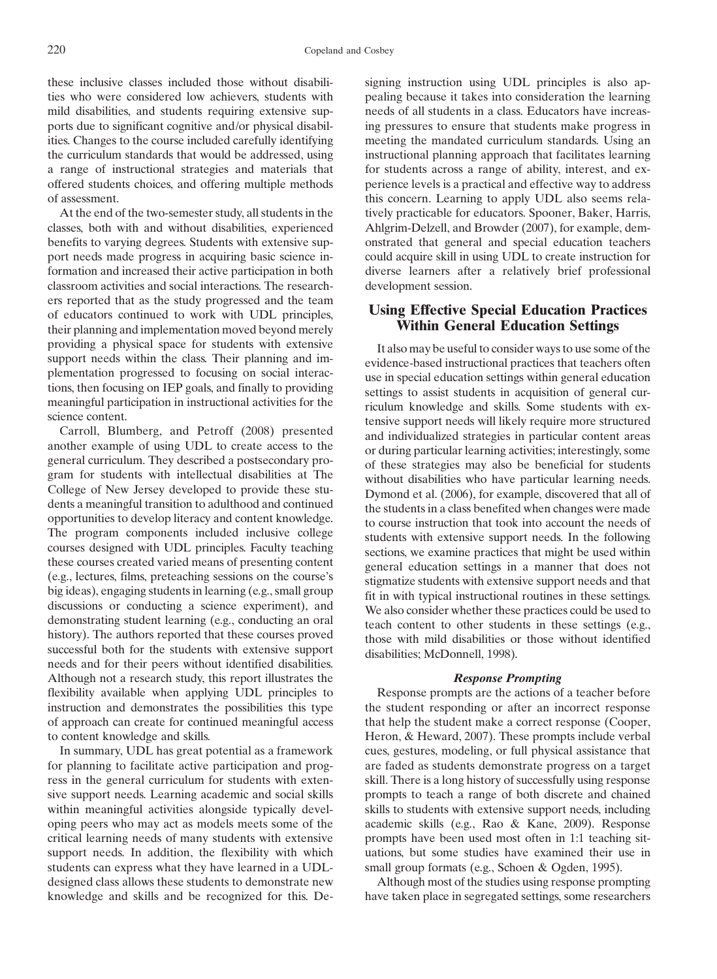these inclusive classes included those without disabilities who were considered low achievers, students with mild disabilities, and students requiring extensive supports due to significant cognitive and/or physical disabilities. Changes to the course included carefully identifying the curriculum standards that would be addressed, using a range of instructional strategies and materials that offered students choices, and offering multiple methods of assessment.

At the end of the two-semester study, all students in the classes, both with and without disabilities, experienced benefits to varying degrees. Students with extensive support needs made progress in acquiring basic science information and increased their active participation in both classroom activities and social interactions. The researchers reported that as the study progressed and the team of educators continued to work with UDL principles, their planning and implementation moved beyond merely providing a physical space for students with extensive support needs within the class. Their planning and implementation progressed to focusing on social interactions, then focusing on IEP goals, and finally to providing meaningful participation in instructional activities for the science content.

Carroll, Blumberg, and Petroff (2008) presented another example of using UDL to create access to the general curriculum. They described a postsecondary program for students with intellectual disabilities at The College of New Jersey developed to provide these students a meaningful transition to adulthood and continued opportunities to develop literacy and content knowledge. The program components included inclusive college courses designed with UDL principles. Faculty teaching these courses created varied means of presenting content (e.g., lectures, films, preteaching sessions on the course's big ideas), engaging students in learning (e.g., small group discussions or conducting a science experiment), and demonstrating student learning (e.g., conducting an oral history). The authors reported that these courses proved successful both for the students with extensive support needs and for their peers without identified disabilities. Although not a research study, this report illustrates the flexibility available when applying UDL principles to instruction and demonstrates the possibilities this type of approach can create for continued meaningful access to content knowledge and skills.

In summary, UDL has great potential as a framework for planning to facilitate active participation and progress in the general curriculum for students with extensive support needs. Learning academic and social skills within meaningful activities alongside typically developing peers who may act as models meets some of the critical learning needs of many students with extensive support needs. In addition, the flexibility with which students can express what they have learned in a UDLdesigned class allows these students to demonstrate new knowledge and skills and be recognized for this. De-

signing instruction using UDL principles is also appealing because it takes into consideration the learning needs of all students in a class. Educators have increasing pressures to ensure that students make progress in meeting the mandated curriculum standards. Using an instructional planning approach that facilitates learning for students across a range of ability, interest, and experience levels is a practical and effective way to address this concern. Learning to apply UDL also seems relatively practicable for educators. Spooner, Baker, Harris, Ahlgrim-Delzell, and Browder (2007), for example, demonstrated that general and special education teachers could acquire skill in using UDL to create instruction for diverse learners after a relatively brief professional development session.

# Using Effective Special Education Practices Within General Education Settings

It also may be useful to consider ways to use some of the evidence-based instructional practices that teachers often use in special education settings within general education settings to assist students in acquisition of general curriculum knowledge and skills. Some students with extensive support needs will likely require more structured and individualized strategies in particular content areas or during particular learning activities; interestingly, some of these strategies may also be beneficial for students without disabilities who have particular learning needs. Dymond et al. (2006), for example, discovered that all of the students in a class benefited when changes were made to course instruction that took into account the needs of students with extensive support needs. In the following sections, we examine practices that might be used within general education settings in a manner that does not stigmatize students with extensive support needs and that fit in with typical instructional routines in these settings. We also consider whether these practices could be used to teach content to other students in these settings (e.g., those with mild disabilities or those without identified disabilities; McDonnell, 1998).

## Response Prompting

Response prompts are the actions of a teacher before the student responding or after an incorrect response that help the student make a correct response (Cooper, Heron, & Heward, 2007). These prompts include verbal cues, gestures, modeling, or full physical assistance that are faded as students demonstrate progress on a target skill. There is a long history of successfully using response prompts to teach a range of both discrete and chained skills to students with extensive support needs, including academic skills (e.g., Rao & Kane, 2009). Response prompts have been used most often in 1:1 teaching situations, but some studies have examined their use in small group formats (e.g., Schoen & Ogden, 1995).

Although most of the studies using response prompting have taken place in segregated settings, some researchers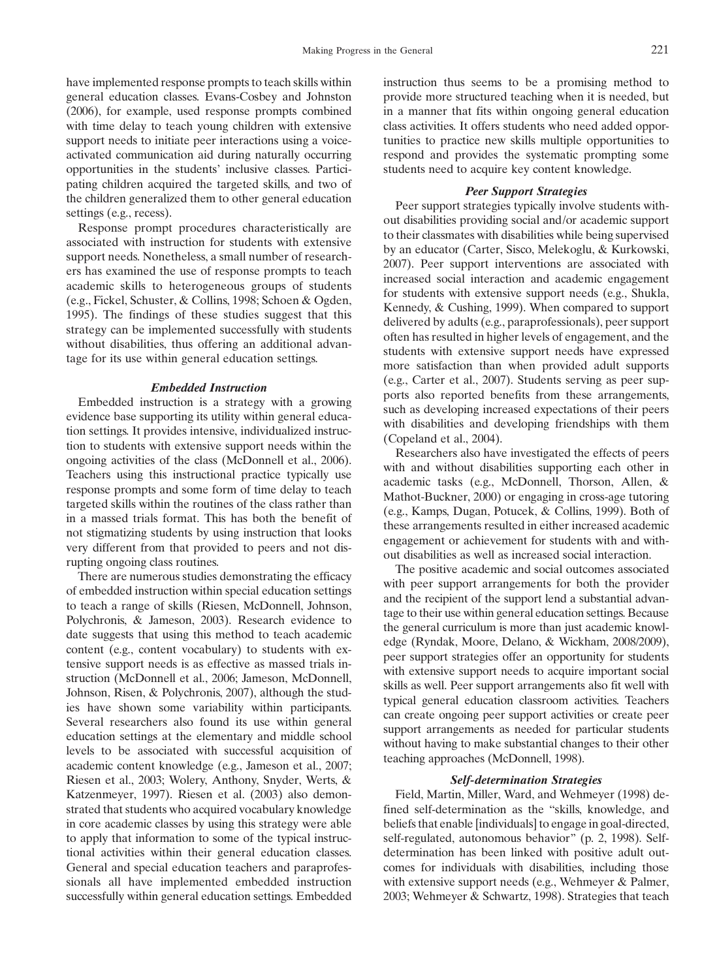have implemented response prompts to teach skills within general education classes. Evans-Cosbey and Johnston (2006), for example, used response prompts combined with time delay to teach young children with extensive support needs to initiate peer interactions using a voiceactivated communication aid during naturally occurring opportunities in the students' inclusive classes. Participating children acquired the targeted skills, and two of the children generalized them to other general education settings (e.g., recess).

Response prompt procedures characteristically are associated with instruction for students with extensive support needs. Nonetheless, a small number of researchers has examined the use of response prompts to teach academic skills to heterogeneous groups of students (e.g., Fickel, Schuster, & Collins, 1998; Schoen & Ogden, 1995). The findings of these studies suggest that this strategy can be implemented successfully with students without disabilities, thus offering an additional advantage for its use within general education settings.

## Embedded Instruction

Embedded instruction is a strategy with a growing evidence base supporting its utility within general education settings. It provides intensive, individualized instruction to students with extensive support needs within the ongoing activities of the class (McDonnell et al., 2006). Teachers using this instructional practice typically use response prompts and some form of time delay to teach targeted skills within the routines of the class rather than in a massed trials format. This has both the benefit of not stigmatizing students by using instruction that looks very different from that provided to peers and not disrupting ongoing class routines.

There are numerous studies demonstrating the efficacy of embedded instruction within special education settings to teach a range of skills (Riesen, McDonnell, Johnson, Polychronis, & Jameson, 2003). Research evidence to date suggests that using this method to teach academic content (e.g., content vocabulary) to students with extensive support needs is as effective as massed trials instruction (McDonnell et al., 2006; Jameson, McDonnell, Johnson, Risen, & Polychronis, 2007), although the studies have shown some variability within participants. Several researchers also found its use within general education settings at the elementary and middle school levels to be associated with successful acquisition of academic content knowledge (e.g., Jameson et al., 2007; Riesen et al., 2003; Wolery, Anthony, Snyder, Werts, & Katzenmeyer, 1997). Riesen et al. (2003) also demonstrated that students who acquired vocabulary knowledge in core academic classes by using this strategy were able to apply that information to some of the typical instructional activities within their general education classes. General and special education teachers and paraprofessionals all have implemented embedded instruction successfully within general education settings. Embedded instruction thus seems to be a promising method to provide more structured teaching when it is needed, but in a manner that fits within ongoing general education class activities. It offers students who need added opportunities to practice new skills multiple opportunities to respond and provides the systematic prompting some students need to acquire key content knowledge.

#### Peer Support Strategies

Peer support strategies typically involve students without disabilities providing social and/or academic support to their classmates with disabilities while being supervised by an educator (Carter, Sisco, Melekoglu, & Kurkowski, 2007). Peer support interventions are associated with increased social interaction and academic engagement for students with extensive support needs (e.g., Shukla, Kennedy, & Cushing, 1999). When compared to support delivered by adults (e.g., paraprofessionals), peer support often has resulted in higher levels of engagement, and the students with extensive support needs have expressed more satisfaction than when provided adult supports (e.g., Carter et al., 2007). Students serving as peer supports also reported benefits from these arrangements, such as developing increased expectations of their peers with disabilities and developing friendships with them (Copeland et al., 2004).

Researchers also have investigated the effects of peers with and without disabilities supporting each other in academic tasks (e.g., McDonnell, Thorson, Allen, & Mathot-Buckner, 2000) or engaging in cross-age tutoring (e.g., Kamps, Dugan, Potucek, & Collins, 1999). Both of these arrangements resulted in either increased academic engagement or achievement for students with and without disabilities as well as increased social interaction.

The positive academic and social outcomes associated with peer support arrangements for both the provider and the recipient of the support lend a substantial advantage to their use within general education settings. Because the general curriculum is more than just academic knowledge (Ryndak, Moore, Delano, & Wickham, 2008/2009), peer support strategies offer an opportunity for students with extensive support needs to acquire important social skills as well. Peer support arrangements also fit well with typical general education classroom activities. Teachers can create ongoing peer support activities or create peer support arrangements as needed for particular students without having to make substantial changes to their other teaching approaches (McDonnell, 1998).

#### Self-determination Strategies

Field, Martin, Miller, Ward, and Wehmeyer (1998) defined self-determination as the "skills, knowledge, and beliefs that enable [individuals] to engage in goal-directed, self-regulated, autonomous behavior" (p. 2, 1998). Selfdetermination has been linked with positive adult outcomes for individuals with disabilities, including those with extensive support needs (e.g., Wehmeyer & Palmer, 2003; Wehmeyer & Schwartz, 1998). Strategies that teach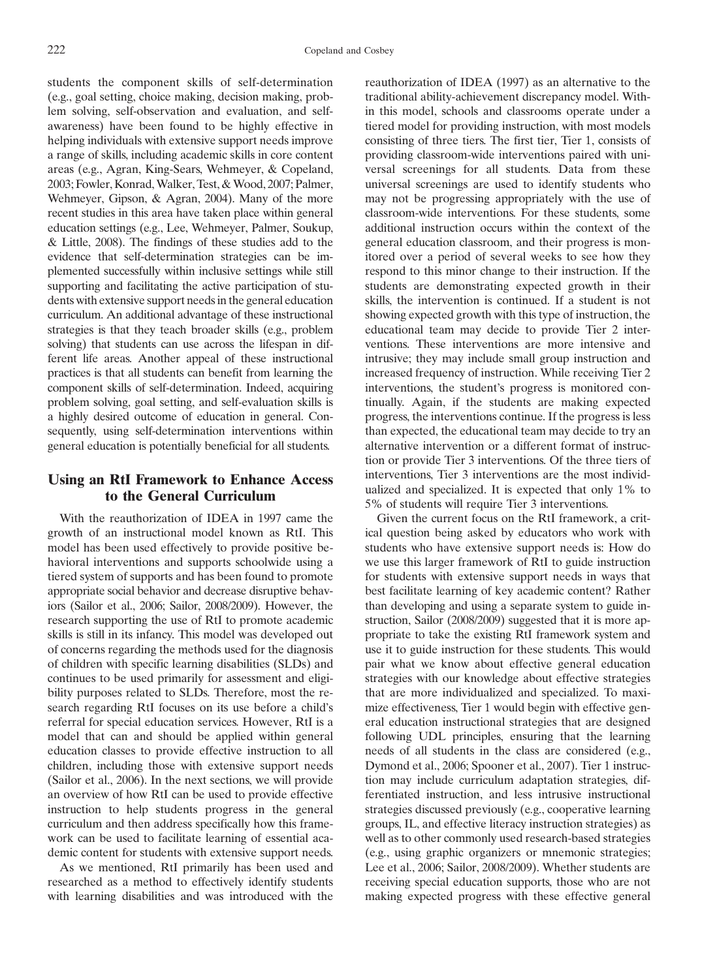students the component skills of self-determination (e.g., goal setting, choice making, decision making, problem solving, self-observation and evaluation, and selfawareness) have been found to be highly effective in helping individuals with extensive support needs improve a range of skills, including academic skills in core content areas (e.g., Agran, King-Sears, Wehmeyer, & Copeland, 2003; Fowler, Konrad, Walker, Test, & Wood, 2007; Palmer, Wehmeyer, Gipson, & Agran, 2004). Many of the more recent studies in this area have taken place within general education settings (e.g., Lee, Wehmeyer, Palmer, Soukup, & Little, 2008). The findings of these studies add to the evidence that self-determination strategies can be implemented successfully within inclusive settings while still supporting and facilitating the active participation of students with extensive support needs in the general education curriculum. An additional advantage of these instructional strategies is that they teach broader skills (e.g., problem solving) that students can use across the lifespan in different life areas. Another appeal of these instructional practices is that all students can benefit from learning the component skills of self-determination. Indeed, acquiring problem solving, goal setting, and self-evaluation skills is a highly desired outcome of education in general. Consequently, using self-determination interventions within general education is potentially beneficial for all students.

# Using an RtI Framework to Enhance Access to the General Curriculum

With the reauthorization of IDEA in 1997 came the growth of an instructional model known as RtI. This model has been used effectively to provide positive behavioral interventions and supports schoolwide using a tiered system of supports and has been found to promote appropriate social behavior and decrease disruptive behaviors (Sailor et al., 2006; Sailor, 2008/2009). However, the research supporting the use of RtI to promote academic skills is still in its infancy. This model was developed out of concerns regarding the methods used for the diagnosis of children with specific learning disabilities (SLDs) and continues to be used primarily for assessment and eligibility purposes related to SLDs. Therefore, most the research regarding RtI focuses on its use before a child's referral for special education services. However, RtI is a model that can and should be applied within general education classes to provide effective instruction to all children, including those with extensive support needs (Sailor et al., 2006). In the next sections, we will provide an overview of how RtI can be used to provide effective instruction to help students progress in the general curriculum and then address specifically how this framework can be used to facilitate learning of essential academic content for students with extensive support needs.

As we mentioned, RtI primarily has been used and researched as a method to effectively identify students with learning disabilities and was introduced with the reauthorization of IDEA (1997) as an alternative to the traditional ability-achievement discrepancy model. Within this model, schools and classrooms operate under a tiered model for providing instruction, with most models consisting of three tiers. The first tier, Tier 1, consists of providing classroom-wide interventions paired with universal screenings for all students. Data from these universal screenings are used to identify students who may not be progressing appropriately with the use of classroom-wide interventions. For these students, some additional instruction occurs within the context of the general education classroom, and their progress is monitored over a period of several weeks to see how they respond to this minor change to their instruction. If the students are demonstrating expected growth in their skills, the intervention is continued. If a student is not showing expected growth with this type of instruction, the educational team may decide to provide Tier 2 interventions. These interventions are more intensive and intrusive; they may include small group instruction and increased frequency of instruction. While receiving Tier 2 interventions, the student's progress is monitored continually. Again, if the students are making expected progress, the interventions continue. If the progress is less than expected, the educational team may decide to try an alternative intervention or a different format of instruction or provide Tier 3 interventions. Of the three tiers of interventions, Tier 3 interventions are the most individualized and specialized. It is expected that only 1% to 5% of students will require Tier 3 interventions.

Given the current focus on the RtI framework, a critical question being asked by educators who work with students who have extensive support needs is: How do we use this larger framework of RtI to guide instruction for students with extensive support needs in ways that best facilitate learning of key academic content? Rather than developing and using a separate system to guide instruction, Sailor (2008/2009) suggested that it is more appropriate to take the existing RtI framework system and use it to guide instruction for these students. This would pair what we know about effective general education strategies with our knowledge about effective strategies that are more individualized and specialized. To maximize effectiveness, Tier 1 would begin with effective general education instructional strategies that are designed following UDL principles, ensuring that the learning needs of all students in the class are considered (e.g., Dymond et al., 2006; Spooner et al., 2007). Tier 1 instruction may include curriculum adaptation strategies, differentiated instruction, and less intrusive instructional strategies discussed previously (e.g., cooperative learning groups, IL, and effective literacy instruction strategies) as well as to other commonly used research-based strategies (e.g., using graphic organizers or mnemonic strategies; Lee et al., 2006; Sailor, 2008/2009). Whether students are receiving special education supports, those who are not making expected progress with these effective general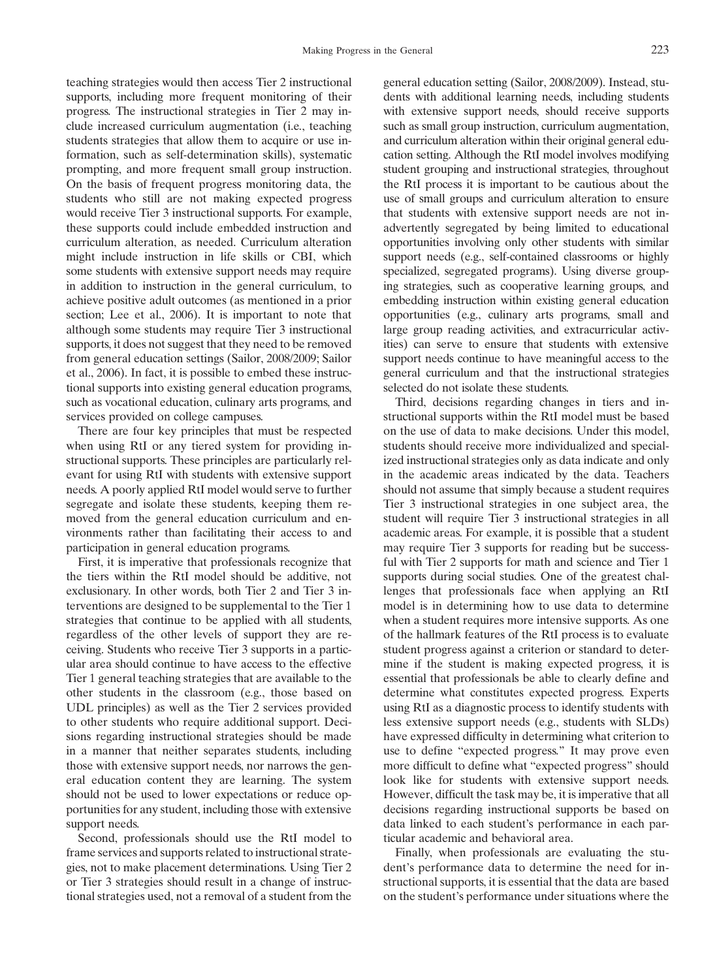teaching strategies would then access Tier 2 instructional supports, including more frequent monitoring of their progress. The instructional strategies in Tier 2 may include increased curriculum augmentation (i.e., teaching students strategies that allow them to acquire or use information, such as self-determination skills), systematic prompting, and more frequent small group instruction. On the basis of frequent progress monitoring data, the students who still are not making expected progress would receive Tier 3 instructional supports. For example, these supports could include embedded instruction and curriculum alteration, as needed. Curriculum alteration might include instruction in life skills or CBI, which some students with extensive support needs may require in addition to instruction in the general curriculum, to achieve positive adult outcomes (as mentioned in a prior section; Lee et al., 2006). It is important to note that although some students may require Tier 3 instructional supports, it does not suggest that they need to be removed from general education settings (Sailor, 2008/2009; Sailor et al., 2006). In fact, it is possible to embed these instructional supports into existing general education programs, such as vocational education, culinary arts programs, and services provided on college campuses.

There are four key principles that must be respected when using RtI or any tiered system for providing instructional supports. These principles are particularly relevant for using RtI with students with extensive support needs. A poorly applied RtI model would serve to further segregate and isolate these students, keeping them removed from the general education curriculum and environments rather than facilitating their access to and participation in general education programs.

First, it is imperative that professionals recognize that the tiers within the RtI model should be additive, not exclusionary. In other words, both Tier 2 and Tier 3 interventions are designed to be supplemental to the Tier 1 strategies that continue to be applied with all students, regardless of the other levels of support they are receiving. Students who receive Tier 3 supports in a particular area should continue to have access to the effective Tier 1 general teaching strategies that are available to the other students in the classroom (e.g., those based on UDL principles) as well as the Tier 2 services provided to other students who require additional support. Decisions regarding instructional strategies should be made in a manner that neither separates students, including those with extensive support needs, nor narrows the general education content they are learning. The system should not be used to lower expectations or reduce opportunities for any student, including those with extensive support needs.

Second, professionals should use the RtI model to frame services and supports related to instructional strategies, not to make placement determinations. Using Tier 2 or Tier 3 strategies should result in a change of instructional strategies used, not a removal of a student from the general education setting (Sailor, 2008/2009). Instead, students with additional learning needs, including students with extensive support needs, should receive supports such as small group instruction, curriculum augmentation, and curriculum alteration within their original general education setting. Although the RtI model involves modifying student grouping and instructional strategies, throughout the RtI process it is important to be cautious about the use of small groups and curriculum alteration to ensure that students with extensive support needs are not inadvertently segregated by being limited to educational opportunities involving only other students with similar support needs (e.g., self-contained classrooms or highly specialized, segregated programs). Using diverse grouping strategies, such as cooperative learning groups, and embedding instruction within existing general education opportunities (e.g., culinary arts programs, small and large group reading activities, and extracurricular activities) can serve to ensure that students with extensive support needs continue to have meaningful access to the general curriculum and that the instructional strategies selected do not isolate these students.

Third, decisions regarding changes in tiers and instructional supports within the RtI model must be based on the use of data to make decisions. Under this model, students should receive more individualized and specialized instructional strategies only as data indicate and only in the academic areas indicated by the data. Teachers should not assume that simply because a student requires Tier 3 instructional strategies in one subject area, the student will require Tier 3 instructional strategies in all academic areas. For example, it is possible that a student may require Tier 3 supports for reading but be successful with Tier 2 supports for math and science and Tier 1 supports during social studies. One of the greatest challenges that professionals face when applying an RtI model is in determining how to use data to determine when a student requires more intensive supports. As one of the hallmark features of the RtI process is to evaluate student progress against a criterion or standard to determine if the student is making expected progress, it is essential that professionals be able to clearly define and determine what constitutes expected progress. Experts using RtI as a diagnostic process to identify students with less extensive support needs (e.g., students with SLDs) have expressed difficulty in determining what criterion to use to define "expected progress." It may prove even more difficult to define what "expected progress" should look like for students with extensive support needs. However, difficult the task may be, it is imperative that all decisions regarding instructional supports be based on data linked to each student's performance in each particular academic and behavioral area.

Finally, when professionals are evaluating the student's performance data to determine the need for instructional supports, it is essential that the data are based on the student's performance under situations where the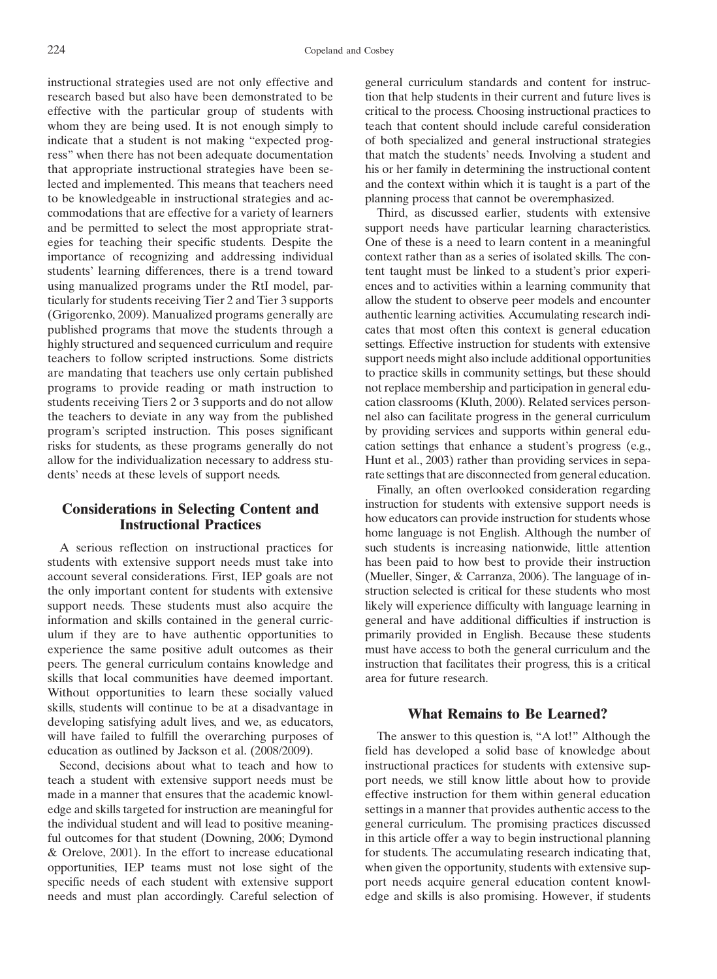instructional strategies used are not only effective and research based but also have been demonstrated to be effective with the particular group of students with whom they are being used. It is not enough simply to indicate that a student is not making "expected progress" when there has not been adequate documentation that appropriate instructional strategies have been selected and implemented. This means that teachers need to be knowledgeable in instructional strategies and accommodations that are effective for a variety of learners and be permitted to select the most appropriate strategies for teaching their specific students. Despite the importance of recognizing and addressing individual students' learning differences, there is a trend toward using manualized programs under the RtI model, particularly for students receiving Tier 2 and Tier 3 supports (Grigorenko, 2009). Manualized programs generally are published programs that move the students through a highly structured and sequenced curriculum and require teachers to follow scripted instructions. Some districts are mandating that teachers use only certain published programs to provide reading or math instruction to students receiving Tiers 2 or 3 supports and do not allow the teachers to deviate in any way from the published program's scripted instruction. This poses significant risks for students, as these programs generally do not allow for the individualization necessary to address students' needs at these levels of support needs.

## Considerations in Selecting Content and Instructional Practices

A serious reflection on instructional practices for students with extensive support needs must take into account several considerations. First, IEP goals are not the only important content for students with extensive support needs. These students must also acquire the information and skills contained in the general curriculum if they are to have authentic opportunities to experience the same positive adult outcomes as their peers. The general curriculum contains knowledge and skills that local communities have deemed important. Without opportunities to learn these socially valued skills, students will continue to be at a disadvantage in developing satisfying adult lives, and we, as educators, will have failed to fulfill the overarching purposes of education as outlined by Jackson et al. (2008/2009).

Second, decisions about what to teach and how to teach a student with extensive support needs must be made in a manner that ensures that the academic knowledge and skills targeted for instruction are meaningful for the individual student and will lead to positive meaningful outcomes for that student (Downing, 2006; Dymond & Orelove, 2001). In the effort to increase educational opportunities, IEP teams must not lose sight of the specific needs of each student with extensive support needs and must plan accordingly. Careful selection of

general curriculum standards and content for instruction that help students in their current and future lives is critical to the process. Choosing instructional practices to teach that content should include careful consideration of both specialized and general instructional strategies that match the students' needs. Involving a student and his or her family in determining the instructional content and the context within which it is taught is a part of the planning process that cannot be overemphasized.

Third, as discussed earlier, students with extensive support needs have particular learning characteristics. One of these is a need to learn content in a meaningful context rather than as a series of isolated skills. The content taught must be linked to a student's prior experiences and to activities within a learning community that allow the student to observe peer models and encounter authentic learning activities. Accumulating research indicates that most often this context is general education settings. Effective instruction for students with extensive support needs might also include additional opportunities to practice skills in community settings, but these should not replace membership and participation in general education classrooms (Kluth, 2000). Related services personnel also can facilitate progress in the general curriculum by providing services and supports within general education settings that enhance a student's progress (e.g., Hunt et al., 2003) rather than providing services in separate settings that are disconnected from general education.

Finally, an often overlooked consideration regarding instruction for students with extensive support needs is how educators can provide instruction for students whose home language is not English. Although the number of such students is increasing nationwide, little attention has been paid to how best to provide their instruction (Mueller, Singer, & Carranza, 2006). The language of instruction selected is critical for these students who most likely will experience difficulty with language learning in general and have additional difficulties if instruction is primarily provided in English. Because these students must have access to both the general curriculum and the instruction that facilitates their progress, this is a critical area for future research.

# What Remains to Be Learned?

The answer to this question is, "A lot!" Although the field has developed a solid base of knowledge about instructional practices for students with extensive support needs, we still know little about how to provide effective instruction for them within general education settings in a manner that provides authentic access to the general curriculum. The promising practices discussed in this article offer a way to begin instructional planning for students. The accumulating research indicating that, when given the opportunity, students with extensive support needs acquire general education content knowledge and skills is also promising. However, if students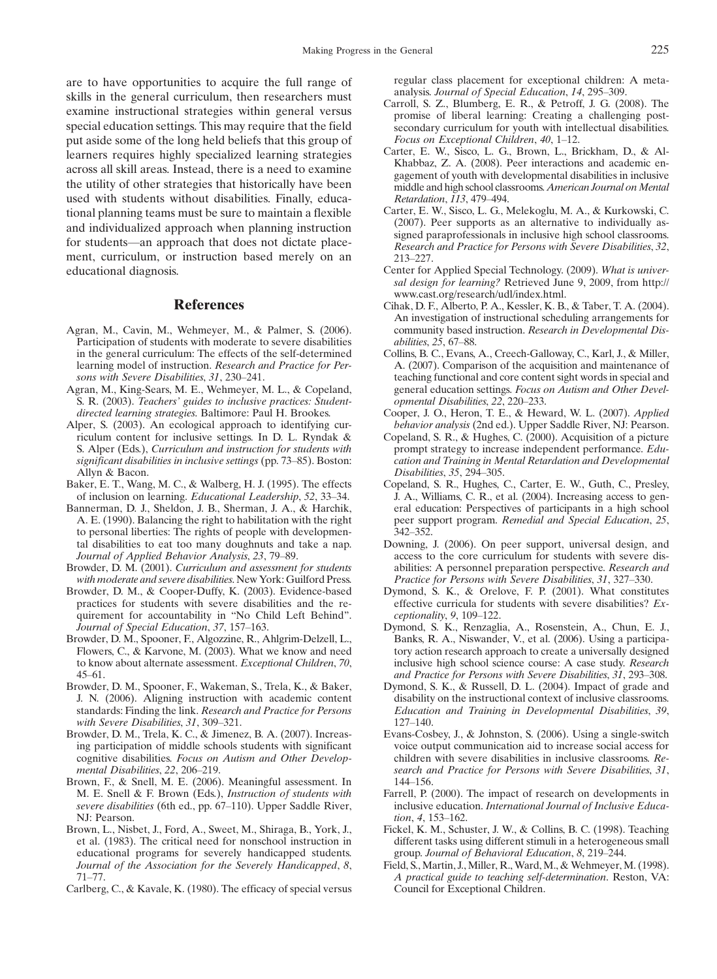are to have opportunities to acquire the full range of skills in the general curriculum, then researchers must examine instructional strategies within general versus special education settings. This may require that the field put aside some of the long held beliefs that this group of learners requires highly specialized learning strategies across all skill areas. Instead, there is a need to examine the utility of other strategies that historically have been used with students without disabilities. Finally, educational planning teams must be sure to maintain a flexible and individualized approach when planning instruction for students—an approach that does not dictate placement, curriculum, or instruction based merely on an educational diagnosis.

## **References**

- Agran, M., Cavin, M., Wehmeyer, M., & Palmer, S. (2006). Participation of students with moderate to severe disabilities in the general curriculum: The effects of the self-determined learning model of instruction. Research and Practice for Persons with Severe Disabilities, 31, 230-241.
- Agran, M., King-Sears, M. E., Wehmeyer, M. L., & Copeland, S. R. (2003). Teachers' guides to inclusive practices: Studentdirected learning strategies. Baltimore: Paul H. Brookes.
- Alper, S. (2003). An ecological approach to identifying curriculum content for inclusive settings. In D. L. Ryndak & S. Alper (Eds.), Curriculum and instruction for students with significant disabilities in inclusive settings (pp. 73–85). Boston: Allyn & Bacon.
- Baker, E. T., Wang, M. C., & Walberg, H. J. (1995). The effects of inclusion on learning. Educational Leadership, 52, 33-34.
- Bannerman, D. J., Sheldon, J. B., Sherman, J. A., & Harchik, A. E. (1990). Balancing the right to habilitation with the right to personal liberties: The rights of people with developmental disabilities to eat too many doughnuts and take a nap. Journal of Applied Behavior Analysis, 23, 79-89.
- Browder, D. M. (2001). Curriculum and assessment for students with moderate and severe disabilities. New York: Guilford Press.
- Browder, D. M., & Cooper-Duffy, K. (2003). Evidence-based practices for students with severe disabilities and the requirement for accountability in "No Child Left Behind". Journal of Special Education, 37, 157-163.
- Browder, D. M., Spooner, F., Algozzine, R., Ahlgrim-Delzell, L., Flowers, C., & Karvone, M. (2003). What we know and need to know about alternate assessment. Exceptional Children, 70,  $45 - 61.$
- Browder, D. M., Spooner, F., Wakeman, S., Trela, K., & Baker, J. N. (2006). Aligning instruction with academic content standards: Finding the link. Research and Practice for Persons with Severe Disabilities, 31, 309–321.
- Browder, D. M., Trela, K. C., & Jimenez, B. A. (2007). Increasing participation of middle schools students with significant cognitive disabilities. Focus on Autism and Other Developmental Disabilities, 22, 206-219.
- Brown, F., & Snell, M. E. (2006). Meaningful assessment. In M. E. Snell & F. Brown (Eds.), Instruction of students with severe disabilities (6th ed., pp. 67-110). Upper Saddle River, NJ: Pearson.
- Brown, L., Nisbet, J., Ford, A., Sweet, M., Shiraga, B., York, J., et al. (1983). The critical need for nonschool instruction in educational programs for severely handicapped students. Journal of the Association for the Severely Handicapped, 8,  $71 - 77.$

Carlberg, C., & Kavale, K. (1980). The efficacy of special versus

regular class placement for exceptional children: A metaanalysis. Journal of Special Education, 14, 295-309.

- Carroll, S. Z., Blumberg, E. R., & Petroff, J. G. (2008). The promise of liberal learning: Creating a challenging postsecondary curriculum for youth with intellectual disabilities. Focus on Exceptional Children, 40, 1-12.
- Carter, E. W., Sisco, L. G., Brown, L., Brickham, D., & Al-Khabbaz, Z. A. (2008). Peer interactions and academic engagement of youth with developmental disabilities in inclusive middle and high school classrooms. American Journal on Mental Retardation, 113, 479-494.
- Carter, E. W., Sisco, L. G., Melekoglu, M. A., & Kurkowski, C. (2007). Peer supports as an alternative to individually assigned paraprofessionals in inclusive high school classrooms. Research and Practice for Persons with Severe Disabilities, 32, 213-227.
- Center for Applied Special Technology. (2009). What is universal design for learning? Retrieved June 9, 2009, from http:// www.cast.org/research/udl/index.html.
- Cihak, D. F., Alberto, P. A., Kessler, K. B., & Taber, T. A. (2004). An investigation of instructional scheduling arrangements for community based instruction. Research in Developmental Disabilities, 25, 67-88.
- Collins, B. C., Evans, A., Creech-Galloway, C., Karl, J., & Miller, A. (2007). Comparison of the acquisition and maintenance of teaching functional and core content sight words in special and general education settings. Focus on Autism and Other Developmental Disabilities, 22, 220-233.
- Cooper, J. O., Heron, T. E., & Heward, W. L. (2007). Applied behavior analysis (2nd ed.). Upper Saddle River, NJ: Pearson.
- Copeland, S. R., & Hughes, C. (2000). Acquisition of a picture prompt strategy to increase independent performance. Education and Training in Mental Retardation and Developmental Disabilities, 35, 294-305.
- Copeland, S. R., Hughes, C., Carter, E. W., Guth, C., Presley, J. A., Williams, C. R., et al. (2004). Increasing access to general education: Perspectives of participants in a high school peer support program. Remedial and Special Education, 25,  $342 - 352$
- Downing, J. (2006). On peer support, universal design, and access to the core curriculum for students with severe disabilities: A personnel preparation perspective. Research and Practice for Persons with Severe Disabilities, 31, 327-330.
- Dymond, S. K., & Orelove, F. P. (2001). What constitutes effective curricula for students with severe disabilities? Ex $c$ eptionality,  $9, 109-122$ .
- Dymond, S. K., Renzaglia, A., Rosenstein, A., Chun, E. J., Banks, R. A., Niswander, V., et al. (2006). Using a participatory action research approach to create a universally designed inclusive high school science course: A case study. Research and Practice for Persons with Severe Disabilities, 31, 293-308.
- Dymond, S. K., & Russell, D. L. (2004). Impact of grade and disability on the instructional context of inclusive classrooms. Education and Training in Developmental Disabilities, 39,  $127 - 140.$
- Evans-Cosbey, J., & Johnston, S. (2006). Using a single-switch voice output communication aid to increase social access for children with severe disabilities in inclusive classrooms. Research and Practice for Persons with Severe Disabilities, 31, 144–156.
- Farrell, P. (2000). The impact of research on developments in inclusive education. International Journal of Inclusive Education, 4, 153-162.
- Fickel, K. M., Schuster, J. W., & Collins, B. C. (1998). Teaching different tasks using different stimuli in a heterogeneous small group. Journal of Behavioral Education, 8, 219-244.
- Field, S., Martin, J.,Miller, R., Ward, M., & Wehmeyer, M. (1998). A practical guide to teaching self-determination. Reston, VA: Council for Exceptional Children.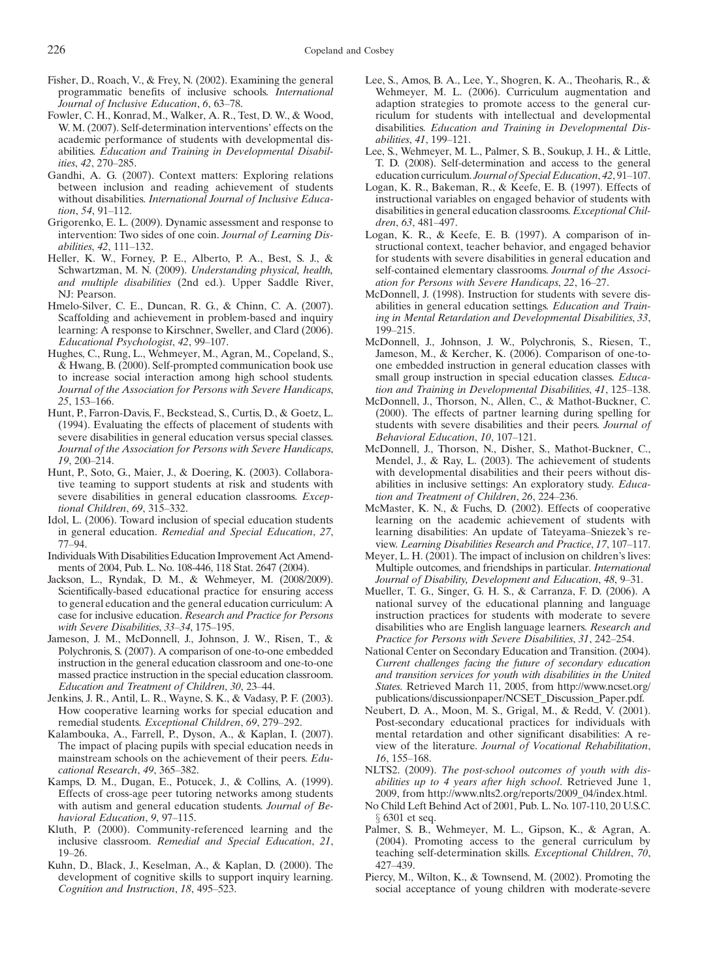- Fisher, D., Roach, V., & Frey, N. (2002). Examining the general programmatic benefits of inclusive schools. International Journal of Inclusive Education, 6, 63-78.
- Fowler, C. H., Konrad, M., Walker, A. R., Test, D. W., & Wood, W. M. (2007). Self-determination interventions' effects on the academic performance of students with developmental disabilities. Education and Training in Developmental Disabilities, 42, 270-285.
- Gandhi, A. G. (2007). Context matters: Exploring relations between inclusion and reading achievement of students without disabilities. International Journal of Inclusive Educa- $$
- Grigorenko, E. L. (2009). Dynamic assessment and response to intervention: Two sides of one coin. Journal of Learning Disabilities, 42, 111-132.
- Heller, K. W., Forney, P. E., Alberto, P. A., Best, S. J., & Schwartzman, M. N. (2009). Understanding physical, health, and multiple disabilities (2nd ed.). Upper Saddle River, NJ: Pearson.
- Hmelo-Silver, C. E., Duncan, R. G., & Chinn, C. A. (2007). Scaffolding and achievement in problem-based and inquiry learning: A response to Kirschner, Sweller, and Clard (2006). Educational Psychologist, 42, 99-107.
- Hughes, C., Rung, L., Wehmeyer, M., Agran, M., Copeland, S., & Hwang, B. (2000). Self-prompted communication book use to increase social interaction among high school students. Journal of the Association for Persons with Severe Handicaps, 25, 153-166.
- Hunt, P., Farron-Davis, F., Beckstead, S., Curtis, D., & Goetz, L. (1994). Evaluating the effects of placement of students with severe disabilities in general education versus special classes. Journal of the Association for Persons with Severe Handicaps,  $19.200 - 214.$
- Hunt, P., Soto, G., Maier, J., & Doering, K. (2003). Collaborative teaming to support students at risk and students with severe disabilities in general education classrooms. Exceptional Children, 69, 315-332.
- Idol, L. (2006). Toward inclusion of special education students in general education. Remedial and Special Education, 27, 77-94.
- Individuals With Disabilities Education Improvement Act Amendments of 2004, Pub. L. No. 108-446, 118 Stat. 2647 (2004).
- Jackson, L., Ryndak, D. M., & Wehmeyer, M. (2008/2009). Scientifically-based educational practice for ensuring access to general education and the general education curriculum: A case for inclusive education. Research and Practice for Persons with Severe Disabilities, 33-34, 175-195.
- Jameson, J. M., McDonnell, J., Johnson, J. W., Risen, T., & Polychronis, S. (2007). A comparison of one-to-one embedded instruction in the general education classroom and one-to-one massed practice instruction in the special education classroom. Education and Treatment of Children, 30, 23–44.
- Jenkins, J. R., Antil, L. R., Wayne, S. K., & Vadasy, P. F. (2003). How cooperative learning works for special education and remedial students. Exceptional Children, 69, 279-292.
- Kalambouka, A., Farrell, P., Dyson, A., & Kaplan, I. (2007). The impact of placing pupils with special education needs in mainstream schools on the achievement of their peers. Educational Research, 49, 365-382.
- Kamps, D. M., Dugan, E., Potucek, J., & Collins, A. (1999). Effects of cross-age peer tutoring networks among students with autism and general education students. Journal of Behavioral Education, 9, 97-115.
- Kluth, P. (2000). Community-referenced learning and the inclusive classroom. Remedial and Special Education, 21,  $19 - 26$ .
- Kuhn, D., Black, J., Keselman, A., & Kaplan, D. (2000). The development of cognitive skills to support inquiry learning. Cognition and Instruction, 18, 495-523.
- Lee, S., Amos, B. A., Lee, Y., Shogren, K. A., Theoharis, R., & Wehmeyer, M. L. (2006). Curriculum augmentation and adaption strategies to promote access to the general curriculum for students with intellectual and developmental disabilities. Education and Training in Developmental Disabilities, 41, 199-121.
- Lee, S., Wehmeyer, M. L., Palmer, S. B., Soukup, J. H., & Little, T. D. (2008). Self-determination and access to the general education curriculum. Journal of Special Education, 42, 91-107.
- Logan, K. R., Bakeman, R., & Keefe, E. B. (1997). Effects of instructional variables on engaged behavior of students with disabilities in general education classrooms. Exceptional Children, 63, 481-497.
- Logan, K. R., & Keefe, E. B. (1997). A comparison of instructional context, teacher behavior, and engaged behavior for students with severe disabilities in general education and self-contained elementary classrooms. Journal of the Association for Persons with Severe Handicaps, 22, 16-27.
- McDonnell, J. (1998). Instruction for students with severe disabilities in general education settings. Education and Training in Mental Retardation and Developmental Disabilities, 33, 199-215.
- McDonnell, J., Johnson, J. W., Polychronis, S., Riesen, T., Jameson, M., & Kercher, K. (2006). Comparison of one-toone embedded instruction in general education classes with small group instruction in special education classes. Education and Training in Developmental Disabilities, 41, 125-138.
- McDonnell, J., Thorson, N., Allen, C., & Mathot-Buckner, C. (2000). The effects of partner learning during spelling for students with severe disabilities and their peers. Journal of Behavioral Education, 10, 107-121.
- McDonnell, J., Thorson, N., Disher, S., Mathot-Buckner, C., Mendel, J., & Ray, L. (2003). The achievement of students with developmental disabilities and their peers without disabilities in inclusive settings: An exploratory study. Education and Treatment of Children, 26, 224-236.
- McMaster, K. N., & Fuchs, D. (2002). Effects of cooperative learning on the academic achievement of students with learning disabilities: An update of Tateyama-Sniezek's review. Learning Disabilities Research and Practice, 17, 107-117.
- Meyer, L. H. (2001). The impact of inclusion on children's lives: Multiple outcomes, and friendships in particular. International Journal of Disability, Development and Education, 48, 9-31.
- Mueller, T. G., Singer, G. H. S., & Carranza, F. D. (2006). A national survey of the educational planning and language instruction practices for students with moderate to severe disabilities who are English language learners. Research and Practice for Persons with Severe Disabilities, 31, 242-254.
- National Center on Secondary Education and Transition. (2004). Current challenges facing the future of secondary education and transition services for youth with disabilities in the United States. Retrieved March 11, 2005, from http://www.ncset.org/ publications/discussionpaper/NCSET\_Discussion\_Paper.pdf.
- Neubert, D. A., Moon, M. S., Grigal, M., & Redd, V. (2001). Post-secondary educational practices for individuals with mental retardation and other significant disabilities: A review of the literature. Journal of Vocational Rehabilitation,  $16, 155 - 168.$
- NLTS2. (2009). The post-school outcomes of youth with disabilities up to 4 years after high school. Retrieved June 1, 2009, from http://www.nlts2.org/reports/2009\_04/index.html.
- No Child Left Behind Act of 2001, Pub. L. No. 107-110, 20 U.S.C. § 6301 et seq.
- Palmer, S. B., Wehmeyer, M. L., Gipson, K., & Agran, A. (2004). Promoting access to the general curriculum by teaching self-determination skills. Exceptional Children, 70, 427-439.
- Piercy, M., Wilton, K., & Townsend, M. (2002). Promoting the social acceptance of young children with moderate-severe